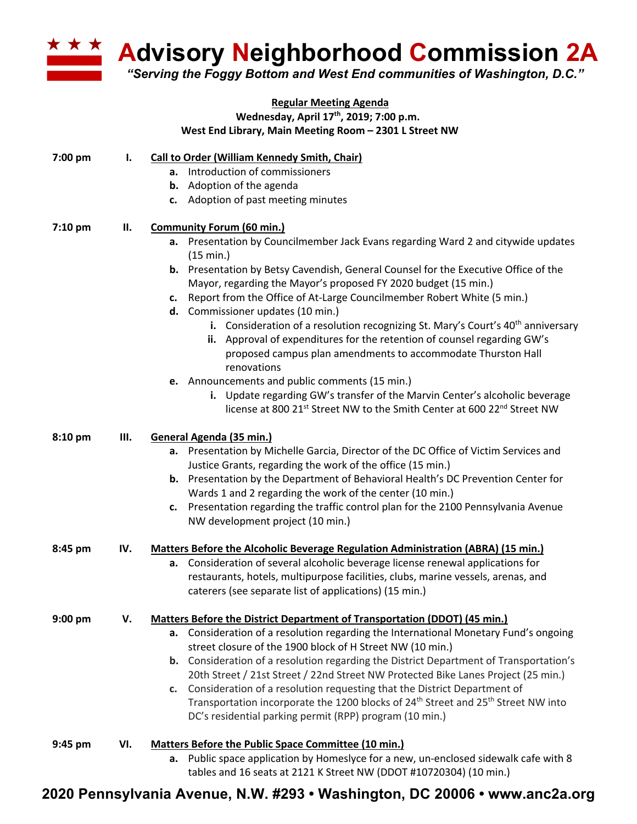

**Advisory Neighborhood Commission 2A** 

*"Serving the Foggy Bottom and West End communities of Washington, D.C."*

## **Regular Meeting Agenda Wednesday, April 17th, 2019; 7:00 p.m. West End Library, Main Meeting Room – 2301 L Street NW**

| 7:00 pm   | Ι.  | <b>Call to Order (William Kennedy Smith, Chair)</b>                                                                                                                        |
|-----------|-----|----------------------------------------------------------------------------------------------------------------------------------------------------------------------------|
|           |     | a. Introduction of commissioners                                                                                                                                           |
|           |     | <b>b.</b> Adoption of the agenda                                                                                                                                           |
|           |     | c. Adoption of past meeting minutes                                                                                                                                        |
|           |     |                                                                                                                                                                            |
| 7:10 pm   | П.  | <b>Community Forum (60 min.)</b>                                                                                                                                           |
|           |     | a. Presentation by Councilmember Jack Evans regarding Ward 2 and citywide updates                                                                                          |
|           |     | (15 min.)                                                                                                                                                                  |
|           |     | <b>b.</b> Presentation by Betsy Cavendish, General Counsel for the Executive Office of the                                                                                 |
|           |     | Mayor, regarding the Mayor's proposed FY 2020 budget (15 min.)                                                                                                             |
|           |     | Report from the Office of At-Large Councilmember Robert White (5 min.)<br>c.                                                                                               |
|           |     | d. Commissioner updates (10 min.)                                                                                                                                          |
|           |     | i. Consideration of a resolution recognizing St. Mary's Court's $40th$ anniversary                                                                                         |
|           |     | ii. Approval of expenditures for the retention of counsel regarding GW's                                                                                                   |
|           |     | proposed campus plan amendments to accommodate Thurston Hall                                                                                                               |
|           |     | renovations                                                                                                                                                                |
|           |     | e. Announcements and public comments (15 min.)                                                                                                                             |
|           |     | i. Update regarding GW's transfer of the Marvin Center's alcoholic beverage                                                                                                |
|           |     | license at 800 21 <sup>st</sup> Street NW to the Smith Center at 600 22 <sup>nd</sup> Street NW                                                                            |
| 8:10 pm   | Ш.  | General Agenda (35 min.)                                                                                                                                                   |
|           |     | a. Presentation by Michelle Garcia, Director of the DC Office of Victim Services and                                                                                       |
|           |     | Justice Grants, regarding the work of the office (15 min.)                                                                                                                 |
|           |     | b. Presentation by the Department of Behavioral Health's DC Prevention Center for                                                                                          |
|           |     | Wards 1 and 2 regarding the work of the center (10 min.)                                                                                                                   |
|           |     | Presentation regarding the traffic control plan for the 2100 Pennsylvania Avenue<br>c.                                                                                     |
|           |     | NW development project (10 min.)                                                                                                                                           |
| 8:45 pm   | IV. |                                                                                                                                                                            |
|           |     | <b>Matters Before the Alcoholic Beverage Regulation Administration (ABRA) (15 min.)</b><br>a. Consideration of several alcoholic beverage license renewal applications for |
|           |     | restaurants, hotels, multipurpose facilities, clubs, marine vessels, arenas, and                                                                                           |
|           |     | caterers (see separate list of applications) (15 min.)                                                                                                                     |
|           |     |                                                                                                                                                                            |
| $9:00$ pm | V.  | Matters Before the District Department of Transportation (DDOT) (45 min.)                                                                                                  |
|           |     | a. Consideration of a resolution regarding the International Monetary Fund's ongoing                                                                                       |
|           |     | street closure of the 1900 block of H Street NW (10 min.)                                                                                                                  |
|           |     | <b>b.</b> Consideration of a resolution regarding the District Department of Transportation's                                                                              |
|           |     | 20th Street / 21st Street / 22nd Street NW Protected Bike Lanes Project (25 min.)                                                                                          |
|           |     | c. Consideration of a resolution requesting that the District Department of                                                                                                |
|           |     | Transportation incorporate the 1200 blocks of 24 <sup>th</sup> Street and 25 <sup>th</sup> Street NW into                                                                  |
|           |     | DC's residential parking permit (RPP) program (10 min.)                                                                                                                    |
| 9:45 pm   | VI. | Matters Before the Public Space Committee (10 min.)                                                                                                                        |
|           |     | a. Public space application by Homeslyce for a new, un-enclosed sidewalk cafe with 8                                                                                       |
|           |     | tables and 16 seats at 2121 K Street NW (DDOT #10720304) (10 min.)                                                                                                         |

## **2020 Pennsylvania Avenue, N.W. #293 • Washington, DC 20006 • www.anc2a.org**